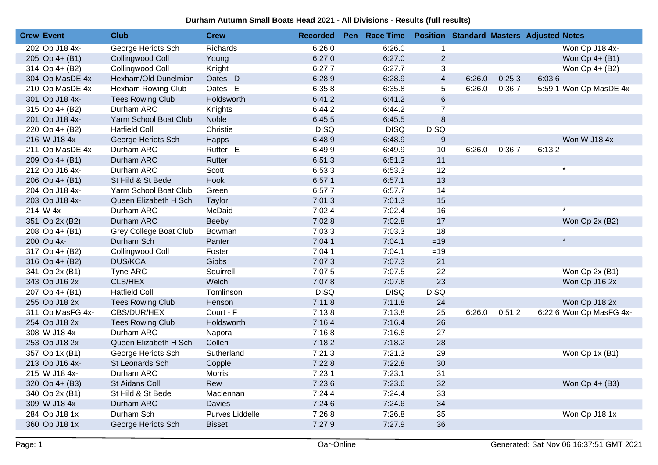| <b>Crew Event</b> | <b>Club</b>                   | <b>Crew</b>     | <b>Recorded</b> | Pen Race Time |                |        |        | <b>Position Standard Masters Adjusted Notes</b> |
|-------------------|-------------------------------|-----------------|-----------------|---------------|----------------|--------|--------|-------------------------------------------------|
| 202 Op J18 4x-    | George Heriots Sch            | <b>Richards</b> | 6:26.0          | 6:26.0        | 1              |        |        | Won Op J18 4x-                                  |
| 205 Op 4+ (B1)    | Collingwood Coll              | Young           | 6:27.0          | 6:27.0        | $\overline{2}$ |        |        | Won Op 4+ (B1)                                  |
| 314 Op 4+ (B2)    | Collingwood Coll              | Knight          | 6:27.7          | 6:27.7        | 3              |        |        | Won Op 4+ (B2)                                  |
| 304 Op MasDE 4x-  | Hexham/Old Dunelmian          | Oates - D       | 6:28.9          | 6:28.9        | $\overline{4}$ | 6:26.0 | 0:25.3 | 6:03.6                                          |
| 210 Op MasDE 4x-  | <b>Hexham Rowing Club</b>     | Oates - E       | 6:35.8          | 6:35.8        | 5              | 6:26.0 | 0:36.7 | 5:59.1 Won Op MasDE 4x-                         |
| 301 Op J18 4x-    | <b>Tees Rowing Club</b>       | Holdsworth      | 6:41.2          | 6:41.2        | $6\phantom{a}$ |        |        |                                                 |
| 315 Op 4+ (B2)    | Durham ARC                    | Knights         | 6:44.2          | 6:44.2        | $\overline{7}$ |        |        |                                                 |
| 201 Op J18 4x-    | Yarm School Boat Club         | Noble           | 6:45.5          | 6:45.5        | 8              |        |        |                                                 |
| 220 Op 4+ (B2)    | <b>Hatfield Coll</b>          | Christie        | <b>DISQ</b>     | <b>DISQ</b>   | <b>DISQ</b>    |        |        |                                                 |
| 216 W J18 4x-     | George Heriots Sch            | Happs           | 6:48.9          | 6:48.9        | $9\,$          |        |        | Won W J18 4x-                                   |
| 211 Op MasDE 4x-  | Durham ARC                    | Rutter - E      | 6:49.9          | 6:49.9        | 10             | 6:26.0 | 0:36.7 | 6:13.2                                          |
| 209 Op 4+ (B1)    | Durham ARC                    | Rutter          | 6:51.3          | 6:51.3        | 11             |        |        |                                                 |
| 212 Op J16 4x-    | Durham ARC                    | Scott           | 6:53.3          | 6:53.3        | 12             |        |        | $\star$                                         |
| 206 Op 4+ (B1)    | St Hild & St Bede             | Hook            | 6:57.1          | 6:57.1        | 13             |        |        |                                                 |
| 204 Op J18 4x-    | Yarm School Boat Club         | Green           | 6:57.7          | 6:57.7        | 14             |        |        |                                                 |
| 203 Op J18 4x-    | Queen Elizabeth H Sch         | Taylor          | 7:01.3          | 7:01.3        | 15             |        |        |                                                 |
| 214 W 4x-         | Durham ARC                    | McDaid          | 7:02.4          | 7:02.4        | 16             |        |        | $\star$                                         |
| 351 Op 2x (B2)    | Durham ARC                    | Beeby           | 7:02.8          | 7:02.8        | 17             |        |        | Won Op 2x (B2)                                  |
| 208 Op 4+ (B1)    | <b>Grey College Boat Club</b> | Bowman          | 7:03.3          | 7:03.3        | 18             |        |        |                                                 |
| 200 Op 4x-        | Durham Sch                    | Panter          | 7:04.1          | 7:04.1        | $=19$          |        |        | $\star$                                         |
| 317 Op 4+ (B2)    | Collingwood Coll              | Foster          | 7:04.1          | 7:04.1        | $=19$          |        |        |                                                 |
| 316 Op 4+ (B2)    | <b>DUS/KCA</b>                | Gibbs           | 7:07.3          | 7:07.3        | 21             |        |        |                                                 |
| 341 Op 2x (B1)    | Tyne ARC                      | Squirrell       | 7:07.5          | 7:07.5        | 22             |        |        | Won Op 2x (B1)                                  |
| 343 Op J16 2x     | CLS/HEX                       | Welch           | 7:07.8          | 7:07.8        | 23             |        |        | Won Op J16 2x                                   |
| 207 Op 4+ (B1)    | <b>Hatfield Coll</b>          | Tomlinson       | <b>DISQ</b>     | <b>DISQ</b>   | <b>DISQ</b>    |        |        |                                                 |
| 255 Op J18 2x     | <b>Tees Rowing Club</b>       | Henson          | 7:11.8          | 7:11.8        | 24             |        |        | Won Op J18 2x                                   |
| 311 Op MasFG 4x-  | CBS/DUR/HEX                   | Court - F       | 7:13.8          | 7:13.8        | 25             | 6:26.0 | 0:51.2 | 6:22.6 Won Op MasFG 4x-                         |
| 254 Op J18 2x     | <b>Tees Rowing Club</b>       | Holdsworth      | 7:16.4          | 7:16.4        | 26             |        |        |                                                 |
| 308 W J18 4x-     | Durham ARC                    | Napora          | 7:16.8          | 7:16.8        | 27             |        |        |                                                 |
| 253 Op J18 2x     | Queen Elizabeth H Sch         | Collen          | 7:18.2          | 7:18.2        | 28             |        |        |                                                 |
| 357 Op 1x (B1)    | George Heriots Sch            | Sutherland      | 7:21.3          | 7:21.3        | 29             |        |        | Won Op 1x (B1)                                  |
| 213 Op J16 4x-    | St Leonards Sch               | Copple          | 7:22.8          | 7:22.8        | 30             |        |        |                                                 |
| 215 W J18 4x-     | Durham ARC                    | <b>Morris</b>   | 7:23.1          | 7:23.1        | 31             |        |        |                                                 |
| 320 Op 4+ (B3)    | St Aidans Coll                | Rew             | 7:23.6          | 7:23.6        | 32             |        |        | Won Op 4+ (B3)                                  |
| 340 Op 2x (B1)    | St Hild & St Bede             | Maclennan       | 7:24.4          | 7:24.4        | 33             |        |        |                                                 |
| 309 W J18 4x-     | Durham ARC                    | <b>Davies</b>   | 7:24.6          | 7:24.6        | 34             |        |        |                                                 |
| 284 Op J18 1x     | Durham Sch                    | Purves Liddelle | 7:26.8          | 7:26.8        | 35             |        |        | Won Op J18 1x                                   |
| 360 Op J18 1x     | George Heriots Sch            | <b>Bisset</b>   | 7:27.9          | 7:27.9        | 36             |        |        |                                                 |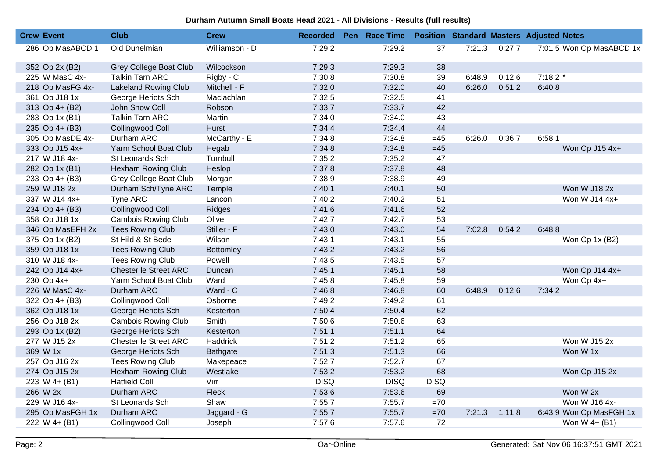| <b>Crew Event</b> | <b>Club</b>                  | <b>Crew</b>      | <b>Recorded</b> | Pen Race Time |             |        |        | <b>Position Standard Masters Adjusted Notes</b> |  |
|-------------------|------------------------------|------------------|-----------------|---------------|-------------|--------|--------|-------------------------------------------------|--|
| 286 Op MasABCD 1  | Old Dunelmian                | Williamson - D   | 7:29.2          | 7:29.2        | 37          | 7:21.3 | 0:27.7 | 7:01.5 Won Op MasABCD 1x                        |  |
| 352 Op 2x (B2)    | Grey College Boat Club       | Wilcockson       | 7:29.3          | 7:29.3        | 38          |        |        |                                                 |  |
| 225 W MasC 4x-    | <b>Talkin Tarn ARC</b>       | Rigby - C        | 7:30.8          | 7:30.8        | 39          | 6:48.9 | 0:12.6 | $7:18.2*$                                       |  |
| 218 Op MasFG 4x-  | <b>Lakeland Rowing Club</b>  | Mitchell - F     | 7:32.0          | 7:32.0        | 40          | 6:26.0 | 0:51.2 | 6:40.8                                          |  |
| 361 Op J18 1x     | George Heriots Sch           | Maclachlan       | 7:32.5          | 7:32.5        | 41          |        |        |                                                 |  |
| 313 Op 4+ (B2)    | John Snow Coll               | Robson           | 7:33.7          | 7:33.7        | 42          |        |        |                                                 |  |
| 283 Op 1x (B1)    | <b>Talkin Tarn ARC</b>       | Martin           | 7:34.0          | 7:34.0        | 43          |        |        |                                                 |  |
| 235 Op 4+ (B3)    | Collingwood Coll             | <b>Hurst</b>     | 7:34.4          | 7:34.4        | 44          |        |        |                                                 |  |
| 305 Op MasDE 4x-  | Durham ARC                   | McCarthy - E     | 7:34.8          | 7:34.8        | $=45$       | 6:26.0 | 0:36.7 | 6:58.1                                          |  |
| 333 Op J15 4x+    | Yarm School Boat Club        | Hegab            | 7:34.8          | 7:34.8        | $=45$       |        |        | Won Op J15 4x+                                  |  |
| 217 W J18 4x-     | St Leonards Sch              | Turnbull         | 7:35.2          | 7:35.2        | 47          |        |        |                                                 |  |
| 282 Op 1x (B1)    | Hexham Rowing Club           | Heslop           | 7:37.8          | 7:37.8        | 48          |        |        |                                                 |  |
| 233 Op 4+ (B3)    | Grey College Boat Club       | Morgan           | 7:38.9          | 7:38.9        | 49          |        |        |                                                 |  |
| 259 W J18 2x      | Durham Sch/Tyne ARC          | Temple           | 7:40.1          | 7:40.1        | 50          |        |        | Won W J18 2x                                    |  |
| 337 W J14 4x+     | Tyne ARC                     | Lancon           | 7:40.2          | 7:40.2        | 51          |        |        | Won W J14 4x+                                   |  |
| 234 Op 4+ (B3)    | Collingwood Coll             | Ridges           | 7:41.6          | 7:41.6        | 52          |        |        |                                                 |  |
| 358 Op J18 1x     | <b>Cambois Rowing Club</b>   | Olive            | 7:42.7          | 7:42.7        | 53          |        |        |                                                 |  |
| 346 Op MasEFH 2x  | <b>Tees Rowing Club</b>      | Stiller - F      | 7:43.0          | 7:43.0        | 54          | 7:02.8 | 0:54.2 | 6:48.8                                          |  |
| 375 Op 1x (B2)    | St Hild & St Bede            | Wilson           | 7:43.1          | 7:43.1        | 55          |        |        | Won Op 1x (B2)                                  |  |
| 359 Op J18 1x     | <b>Tees Rowing Club</b>      | <b>Bottomley</b> | 7:43.2          | 7:43.2        | 56          |        |        |                                                 |  |
| 310 W J18 4x-     | <b>Tees Rowing Club</b>      | Powell           | 7:43.5          | 7:43.5        | 57          |        |        |                                                 |  |
| 242 Op J14 4x+    | <b>Chester le Street ARC</b> | Duncan           | 7:45.1          | 7:45.1        | 58          |        |        | Won Op J14 4x+                                  |  |
| 230 Op 4x+        | Yarm School Boat Club        | Ward             | 7:45.8          | 7:45.8        | 59          |        |        | Won Op 4x+                                      |  |
| 226 W MasC 4x-    | Durham ARC                   | Ward - C         | 7:46.8          | 7:46.8        | 60          | 6:48.9 | 0:12.6 | 7:34.2                                          |  |
| 322 Op 4+ (B3)    | Collingwood Coll             | Osborne          | 7:49.2          | 7:49.2        | 61          |        |        |                                                 |  |
| 362 Op J18 1x     | George Heriots Sch           | Kesterton        | 7:50.4          | 7:50.4        | 62          |        |        |                                                 |  |
| 256 Op J18 2x     | <b>Cambois Rowing Club</b>   | Smith            | 7:50.6          | 7:50.6        | 63          |        |        |                                                 |  |
| 293 Op 1x (B2)    | George Heriots Sch           | Kesterton        | 7:51.1          | 7:51.1        | 64          |        |        |                                                 |  |
| 277 W J15 2x      | Chester le Street ARC        | Haddrick         | 7:51.2          | 7:51.2        | 65          |        |        | Won W J15 2x                                    |  |
| 369 W 1x          | George Heriots Sch           | Bathgate         | 7:51.3          | 7:51.3        | 66          |        |        | Won W 1x                                        |  |
| 257 Op J16 2x     | <b>Tees Rowing Club</b>      | Makepeace        | 7:52.7          | 7:52.7        | 67          |        |        |                                                 |  |
| 274 Op J15 2x     | Hexham Rowing Club           | Westlake         | 7:53.2          | 7:53.2        | 68          |        |        | Won Op J15 2x                                   |  |
| 223 W 4+ (B1)     | <b>Hatfield Coll</b>         | Virr             | <b>DISQ</b>     | <b>DISQ</b>   | <b>DISQ</b> |        |        |                                                 |  |
| 266 W 2x          | Durham ARC                   | Fleck            | 7:53.6          | 7:53.6        | 69          |        |        | Won W 2x                                        |  |
| 229 W J16 4x-     | St Leonards Sch              | Shaw             | 7:55.7          | 7:55.7        | $=70$       |        |        | Won W J16 4x-                                   |  |
| 295 Op MasFGH 1x  | Durham ARC                   | Jaggard - G      | 7:55.7          | 7:55.7        | $=70$       | 7:21.3 | 1:11.8 | 6:43.9 Won Op MasFGH 1x                         |  |
| 222 W 4+ (B1)     | Collingwood Coll             | Joseph           | 7:57.6          | 7:57.6        | 72          |        |        | Won W 4+ (B1)                                   |  |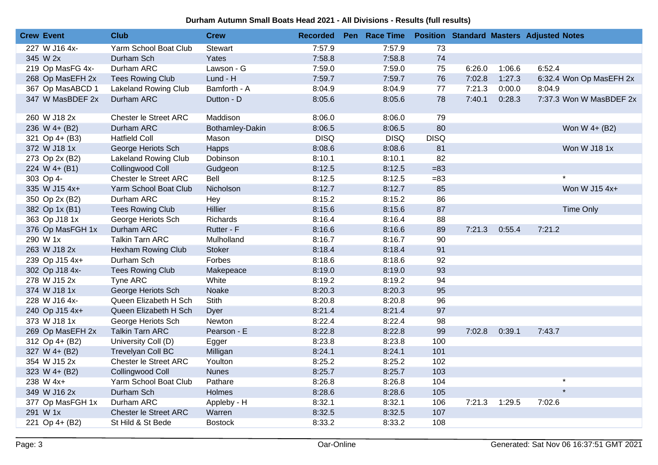| <b>Crew Event</b> | <b>Club</b>                  | <b>Crew</b>     | <b>Recorded</b> | Pen Race Time |             |        |        | <b>Position Standard Masters Adjusted Notes</b> |
|-------------------|------------------------------|-----------------|-----------------|---------------|-------------|--------|--------|-------------------------------------------------|
| 227 W J16 4x-     | Yarm School Boat Club        | <b>Stewart</b>  | 7:57.9          | 7:57.9        | 73          |        |        |                                                 |
| 345 W 2x          | Durham Sch                   | Yates           | 7:58.8          | 7:58.8        | 74          |        |        |                                                 |
| 219 Op MasFG 4x-  | Durham ARC                   | Lawson - G      | 7:59.0          | 7:59.0        | 75          | 6:26.0 | 1:06.6 | 6:52.4                                          |
| 268 Op MasEFH 2x  | <b>Tees Rowing Club</b>      | Lund - H        | 7:59.7          | 7:59.7        | 76          | 7:02.8 | 1:27.3 | 6:32.4 Won Op MasEFH 2x                         |
| 367 Op MasABCD 1  | <b>Lakeland Rowing Club</b>  | Bamforth - A    | 8:04.9          | 8:04.9        | 77          | 7:21.3 | 0:00.0 | 8:04.9                                          |
| 347 W MasBDEF 2x  | Durham ARC                   | Dutton - D      | 8:05.6          | 8:05.6        | 78          | 7:40.1 | 0:28.3 | 7:37.3 Won W MasBDEF 2x                         |
| 260 W J18 2x      | Chester le Street ARC        | Maddison        | 8:06.0          | 8:06.0        | 79          |        |        |                                                 |
| 236 W 4+ (B2)     | Durham ARC                   | Bothamley-Dakin | 8:06.5          | 8:06.5        | 80          |        |        | Won W 4+ (B2)                                   |
| 321 Op 4+ (B3)    | <b>Hatfield Coll</b>         | Mason           | <b>DISQ</b>     | <b>DISQ</b>   | <b>DISQ</b> |        |        |                                                 |
| 372 W J18 1x      | George Heriots Sch           | Happs           | 8:08.6          | 8:08.6        | 81          |        |        | Won W J18 1x                                    |
| 273 Op 2x (B2)    | <b>Lakeland Rowing Club</b>  | Dobinson        | 8:10.1          | 8:10.1        | 82          |        |        |                                                 |
| 224 W $4+ (B1)$   | Collingwood Coll             | Gudgeon         | 8:12.5          | 8:12.5        | $= 83$      |        |        |                                                 |
| 303 Op 4-         | Chester le Street ARC        | Bell            | 8:12.5          | 8:12.5        | $= 83$      |        |        |                                                 |
| 335 W J15 4x+     | Yarm School Boat Club        | Nicholson       | 8:12.7          | 8:12.7        | 85          |        |        | Won W J15 4x+                                   |
| 350 Op 2x (B2)    | Durham ARC                   | Hey             | 8:15.2          | 8:15.2        | 86          |        |        |                                                 |
| 382 Op 1x (B1)    | <b>Tees Rowing Club</b>      | Hillier         | 8:15.6          | 8:15.6        | 87          |        |        | <b>Time Only</b>                                |
| 363 Op J18 1x     | George Heriots Sch           | Richards        | 8:16.4          | 8:16.4        | 88          |        |        |                                                 |
| 376 Op MasFGH 1x  | Durham ARC                   | Rutter - F      | 8:16.6          | 8:16.6        | 89          | 7:21.3 | 0:55.4 | 7:21.2                                          |
| 290 W 1x          | <b>Talkin Tarn ARC</b>       | Mulholland      | 8:16.7          | 8:16.7        | 90          |        |        |                                                 |
| 263 W J18 2x      | Hexham Rowing Club           | <b>Stoker</b>   | 8:18.4          | 8:18.4        | 91          |        |        |                                                 |
| 239 Op J15 4x+    | Durham Sch                   | Forbes          | 8:18.6          | 8:18.6        | 92          |        |        |                                                 |
| 302 Op J18 4x-    | <b>Tees Rowing Club</b>      | Makepeace       | 8:19.0          | 8:19.0        | 93          |        |        |                                                 |
| 278 W J15 2x      | Tyne ARC                     | White           | 8:19.2          | 8:19.2        | 94          |        |        |                                                 |
| 374 W J18 1x      | George Heriots Sch           | Noake           | 8:20.3          | 8:20.3        | 95          |        |        |                                                 |
| 228 W J16 4x-     | Queen Elizabeth H Sch        | Stith           | 8:20.8          | 8:20.8        | 96          |        |        |                                                 |
| 240 Op J15 4x+    | Queen Elizabeth H Sch        | Dyer            | 8:21.4          | 8:21.4        | 97          |        |        |                                                 |
| 373 W J18 1x      | George Heriots Sch           | Newton          | 8:22.4          | 8:22.4        | 98          |        |        |                                                 |
| 269 Op MasEFH 2x  | <b>Talkin Tarn ARC</b>       | Pearson - E     | 8:22.8          | 8:22.8        | 99          | 7:02.8 | 0:39.1 | 7:43.7                                          |
| 312 Op 4+ (B2)    | University Coll (D)          | Egger           | 8:23.8          | 8:23.8        | 100         |        |        |                                                 |
| 327 W 4+ (B2)     | <b>Trevelyan Coll BC</b>     | Milligan        | 8:24.1          | 8:24.1        | 101         |        |        |                                                 |
| 354 W J15 2x      | <b>Chester le Street ARC</b> | Youlton         | 8:25.2          | 8:25.2        | 102         |        |        |                                                 |
| 323 W 4+ (B2)     | Collingwood Coll             | <b>Nunes</b>    | 8:25.7          | 8:25.7        | 103         |        |        |                                                 |
| 238 W 4x+         | Yarm School Boat Club        | Pathare         | 8:26.8          | 8:26.8        | 104         |        |        | $\star$                                         |
| 349 W J16 2x      | Durham Sch                   | Holmes          | 8:28.6          | 8:28.6        | 105         |        |        | $\star$                                         |
| 377 Op MasFGH 1x  | Durham ARC                   | Appleby - H     | 8:32.1          | 8:32.1        | 106         | 7:21.3 | 1:29.5 | 7:02.6                                          |
| 291 W 1x          | Chester le Street ARC        | Warren          | 8:32.5          | 8:32.5        | 107         |        |        |                                                 |
| 221 Op 4+ (B2)    | St Hild & St Bede            | <b>Bostock</b>  | 8:33.2          | 8:33.2        | 108         |        |        |                                                 |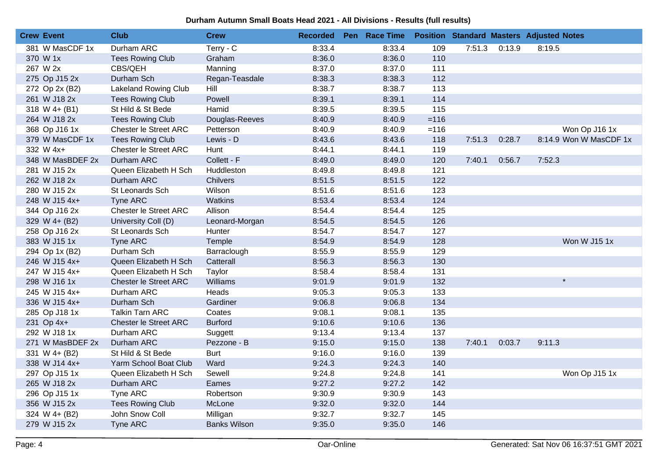| <b>Crew Event</b> | <b>Club</b>                  | <b>Crew</b>         | <b>Recorded</b> | Pen Race Time |         |        |        | <b>Position Standard Masters Adjusted Notes</b> |
|-------------------|------------------------------|---------------------|-----------------|---------------|---------|--------|--------|-------------------------------------------------|
| 381 W MasCDF 1x   | Durham ARC                   | Terry - C           | 8:33.4          | 8:33.4        | 109     | 7:51.3 | 0:13.9 | 8:19.5                                          |
| 370 W 1x          | <b>Tees Rowing Club</b>      | Graham              | 8:36.0          | 8:36.0        | 110     |        |        |                                                 |
| 267 W 2x          | CBS/QEH                      | Manning             | 8:37.0          | 8:37.0        | 111     |        |        |                                                 |
| 275 Op J15 2x     | Durham Sch                   | Regan-Teasdale      | 8:38.3          | 8:38.3        | 112     |        |        |                                                 |
| 272 Op 2x (B2)    | <b>Lakeland Rowing Club</b>  | Hill                | 8:38.7          | 8:38.7        | 113     |        |        |                                                 |
| 261 W J18 2x      | <b>Tees Rowing Club</b>      | Powell              | 8:39.1          | 8:39.1        | 114     |        |        |                                                 |
| 318 W 4+ (B1)     | St Hild & St Bede            | Hamid               | 8:39.5          | 8:39.5        | 115     |        |        |                                                 |
| 264 W J18 2x      | <b>Tees Rowing Club</b>      | Douglas-Reeves      | 8:40.9          | 8:40.9        | $= 116$ |        |        |                                                 |
| 368 Op J16 1x     | Chester le Street ARC        | Petterson           | 8:40.9          | 8:40.9        | $= 116$ |        |        | Won Op J16 1x                                   |
| 379 W MasCDF 1x   | <b>Tees Rowing Club</b>      | Lewis - D           | 8:43.6          | 8:43.6        | 118     | 7:51.3 | 0:28.7 | 8:14.9 Won W MasCDF 1x                          |
| 332 W 4x+         | Chester le Street ARC        | Hunt                | 8:44.1          | 8:44.1        | 119     |        |        |                                                 |
| 348 W MasBDEF 2x  | Durham ARC                   | Collett - F         | 8:49.0          | 8:49.0        | 120     | 7:40.1 | 0:56.7 | 7:52.3                                          |
| 281 W J15 2x      | Queen Elizabeth H Sch        | Huddleston          | 8:49.8          | 8:49.8        | 121     |        |        |                                                 |
| 262 W J18 2x      | Durham ARC                   | <b>Chilvers</b>     | 8:51.5          | 8:51.5        | 122     |        |        |                                                 |
| 280 W J15 2x      | St Leonards Sch              | Wilson              | 8:51.6          | 8:51.6        | 123     |        |        |                                                 |
| 248 W J15 4x+     | <b>Tyne ARC</b>              | Watkins             | 8:53.4          | 8:53.4        | 124     |        |        |                                                 |
| 344 Op J16 2x     | Chester le Street ARC        | Allison             | 8:54.4          | 8:54.4        | 125     |        |        |                                                 |
| 329 W 4+ (B2)     | University Coll (D)          | Leonard-Morgan      | 8:54.5          | 8:54.5        | 126     |        |        |                                                 |
| 258 Op J16 2x     | St Leonards Sch              | Hunter              | 8:54.7          | 8:54.7        | 127     |        |        |                                                 |
| 383 W J15 1x      | <b>Tyne ARC</b>              | Temple              | 8:54.9          | 8:54.9        | 128     |        |        | Won W J15 1x                                    |
| 294 Op 1x (B2)    | Durham Sch                   | Barraclough         | 8:55.9          | 8:55.9        | 129     |        |        |                                                 |
| 246 W J15 4x+     | Queen Elizabeth H Sch        | Catterall           | 8:56.3          | 8:56.3        | 130     |        |        |                                                 |
| 247 W J15 4x+     | Queen Elizabeth H Sch        | Taylor              | 8:58.4          | 8:58.4        | 131     |        |        |                                                 |
| 298 W J16 1x      | <b>Chester le Street ARC</b> | Williams            | 9:01.9          | 9:01.9        | 132     |        |        | $\star$                                         |
| 245 W J15 4x+     | Durham ARC                   | Heads               | 9:05.3          | 9:05.3        | 133     |        |        |                                                 |
| 336 W J15 4x+     | Durham Sch                   | Gardiner            | 9:06.8          | 9:06.8        | 134     |        |        |                                                 |
| 285 Op J18 1x     | <b>Talkin Tarn ARC</b>       | Coates              | 9:08.1          | 9:08.1        | 135     |        |        |                                                 |
| 231 Op 4x+        | Chester le Street ARC        | <b>Burford</b>      | 9:10.6          | 9:10.6        | 136     |        |        |                                                 |
| 292 W J18 1x      | Durham ARC                   | Suggett             | 9:13.4          | 9:13.4        | 137     |        |        |                                                 |
| 271 W MasBDEF 2x  | Durham ARC                   | Pezzone - B         | 9:15.0          | 9:15.0        | 138     | 7:40.1 | 0:03.7 | 9:11.3                                          |
| 331 W 4+ (B2)     | St Hild & St Bede            | <b>Burt</b>         | 9:16.0          | 9:16.0        | 139     |        |        |                                                 |
| 338 W J14 4x+     | Yarm School Boat Club        | Ward                | 9:24.3          | 9:24.3        | 140     |        |        |                                                 |
| 297 Op J15 1x     | Queen Elizabeth H Sch        | Sewell              | 9:24.8          | 9:24.8        | 141     |        |        | Won Op J15 1x                                   |
| 265 W J18 2x      | Durham ARC                   | Eames               | 9:27.2          | 9:27.2        | 142     |        |        |                                                 |
| 296 Op J15 1x     | Tyne ARC                     | Robertson           | 9:30.9          | 9:30.9        | 143     |        |        |                                                 |
| 356 W J15 2x      | <b>Tees Rowing Club</b>      | McLone              | 9:32.0          | 9:32.0        | 144     |        |        |                                                 |
| 324 W 4+ (B2)     | John Snow Coll               | Milligan            | 9:32.7          | 9:32.7        | 145     |        |        |                                                 |
| 279 W J15 2x      | Tyne ARC                     | <b>Banks Wilson</b> | 9:35.0          | 9:35.0        | 146     |        |        |                                                 |
|                   |                              |                     |                 |               |         |        |        |                                                 |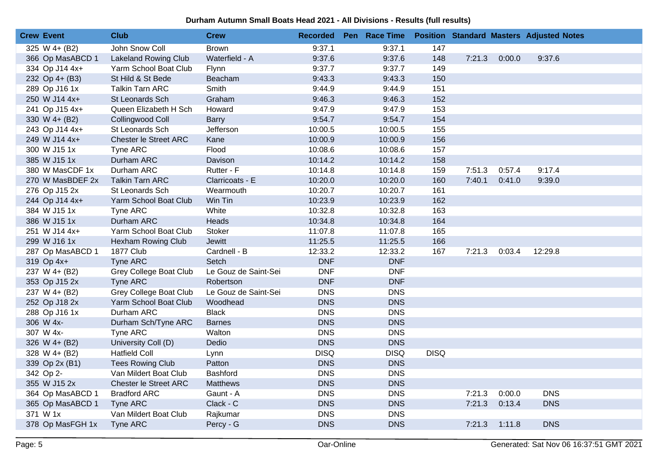| <b>Crew Event</b> | <b>Club</b>                   | <b>Crew</b>          | <b>Recorded</b> | Pen Race Time |             |        |        | <b>Position Standard Masters Adjusted Notes</b> |  |
|-------------------|-------------------------------|----------------------|-----------------|---------------|-------------|--------|--------|-------------------------------------------------|--|
| 325 W 4+ (B2)     | John Snow Coll                | <b>Brown</b>         | 9:37.1          | 9:37.1        | 147         |        |        |                                                 |  |
| 366 Op MasABCD 1  | <b>Lakeland Rowing Club</b>   | Waterfield - A       | 9:37.6          | 9:37.6        | 148         | 7:21.3 | 0:00.0 | 9:37.6                                          |  |
| 334 Op J14 4x+    | Yarm School Boat Club         | Flynn                | 9:37.7          | 9:37.7        | 149         |        |        |                                                 |  |
| 232 Op 4+ (B3)    | St Hild & St Bede             | Beacham              | 9:43.3          | 9:43.3        | 150         |        |        |                                                 |  |
| 289 Op J16 1x     | <b>Talkin Tarn ARC</b>        | Smith                | 9:44.9          | 9:44.9        | 151         |        |        |                                                 |  |
| 250 W J14 4x+     | St Leonards Sch               | Graham               | 9:46.3          | 9:46.3        | 152         |        |        |                                                 |  |
| 241 Op J15 4x+    | Queen Elizabeth H Sch         | Howard               | 9:47.9          | 9:47.9        | 153         |        |        |                                                 |  |
| 330 W 4+ (B2)     | Collingwood Coll              | <b>Barry</b>         | 9:54.7          | 9:54.7        | 154         |        |        |                                                 |  |
| 243 Op J14 4x+    | St Leonards Sch               | Jefferson            | 10:00.5         | 10:00.5       | 155         |        |        |                                                 |  |
| 249 W J14 4x+     | Chester le Street ARC         | Kane                 | 10:00.9         | 10:00.9       | 156         |        |        |                                                 |  |
| 300 W J15 1x      | Tyne ARC                      | Flood                | 10:08.6         | 10:08.6       | 157         |        |        |                                                 |  |
| 385 W J15 1x      | Durham ARC                    | Davison              | 10:14.2         | 10:14.2       | 158         |        |        |                                                 |  |
| 380 W MasCDF 1x   | Durham ARC                    | Rutter - F           | 10:14.8         | 10:14.8       | 159         | 7:51.3 | 0:57.4 | 9:17.4                                          |  |
| 270 W MasBDEF 2x  | <b>Talkin Tarn ARC</b>        | Clarricoats - E      | 10:20.0         | 10:20.0       | 160         | 7:40.1 | 0:41.0 | 9:39.0                                          |  |
| 276 Op J15 2x     | St Leonards Sch               | Wearmouth            | 10:20.7         | 10:20.7       | 161         |        |        |                                                 |  |
| 244 Op J14 4x+    | Yarm School Boat Club         | Win Tin              | 10:23.9         | 10:23.9       | 162         |        |        |                                                 |  |
| 384 W J15 1x      | Tyne ARC                      | White                | 10:32.8         | 10:32.8       | 163         |        |        |                                                 |  |
| 386 W J15 1x      | Durham ARC                    | Heads                | 10:34.8         | 10:34.8       | 164         |        |        |                                                 |  |
| 251 W J14 4x+     | Yarm School Boat Club         | Stoker               | 11:07.8         | 11:07.8       | 165         |        |        |                                                 |  |
| 299 W J16 1x      | Hexham Rowing Club            | Jewitt               | 11:25.5         | 11:25.5       | 166         |        |        |                                                 |  |
| 287 Op MasABCD 1  | <b>1877 Club</b>              | Cardnell - B         | 12:33.2         | 12:33.2       | 167         | 7:21.3 | 0:03.4 | 12:29.8                                         |  |
| 319 Op 4x+        | <b>Tyne ARC</b>               | Setch                | <b>DNF</b>      | <b>DNF</b>    |             |        |        |                                                 |  |
| 237 W 4+ (B2)     | <b>Grey College Boat Club</b> | Le Gouz de Saint-Sei | <b>DNF</b>      | <b>DNF</b>    |             |        |        |                                                 |  |
| 353 Op J15 2x     | Tyne ARC                      | Robertson            | <b>DNF</b>      | <b>DNF</b>    |             |        |        |                                                 |  |
| 237 W 4+ (B2)     | <b>Grey College Boat Club</b> | Le Gouz de Saint-Sei | <b>DNS</b>      | <b>DNS</b>    |             |        |        |                                                 |  |
| 252 Op J18 2x     | Yarm School Boat Club         | Woodhead             | <b>DNS</b>      | <b>DNS</b>    |             |        |        |                                                 |  |
| 288 Op J16 1x     | Durham ARC                    | <b>Black</b>         | <b>DNS</b>      | <b>DNS</b>    |             |        |        |                                                 |  |
| 306 W 4x-         | Durham Sch/Tyne ARC           | <b>Barnes</b>        | <b>DNS</b>      | <b>DNS</b>    |             |        |        |                                                 |  |
| 307 W 4x-         | Tyne ARC                      | Walton               | <b>DNS</b>      | <b>DNS</b>    |             |        |        |                                                 |  |
| 326 W 4+ (B2)     | University Coll (D)           | Dedio                | <b>DNS</b>      | <b>DNS</b>    |             |        |        |                                                 |  |
| 328 W 4+ (B2)     | <b>Hatfield Coll</b>          | Lynn                 | <b>DISQ</b>     | <b>DISQ</b>   | <b>DISQ</b> |        |        |                                                 |  |
| 339 Op 2x (B1)    | <b>Tees Rowing Club</b>       | Patton               | <b>DNS</b>      | <b>DNS</b>    |             |        |        |                                                 |  |
| 342 Op 2-         | Van Mildert Boat Club         | <b>Bashford</b>      | <b>DNS</b>      | <b>DNS</b>    |             |        |        |                                                 |  |
| 355 W J15 2x      | Chester le Street ARC         | <b>Matthews</b>      | <b>DNS</b>      | <b>DNS</b>    |             |        |        |                                                 |  |
| 364 Op MasABCD 1  | <b>Bradford ARC</b>           | Gaunt - A            | <b>DNS</b>      | <b>DNS</b>    |             | 7:21.3 | 0:00.0 | <b>DNS</b>                                      |  |
| 365 Op MasABCD 1  | <b>Tyne ARC</b>               | Clack - C            | <b>DNS</b>      | <b>DNS</b>    |             | 7:21.3 | 0:13.4 | <b>DNS</b>                                      |  |
| 371 W 1x          | Van Mildert Boat Club         | Rajkumar             | <b>DNS</b>      | <b>DNS</b>    |             |        |        |                                                 |  |
| 378 Op MasFGH 1x  | <b>Tyne ARC</b>               | Percy - G            | <b>DNS</b>      | <b>DNS</b>    |             | 7:21.3 | 1:11.8 | <b>DNS</b>                                      |  |
|                   |                               |                      |                 |               |             |        |        |                                                 |  |